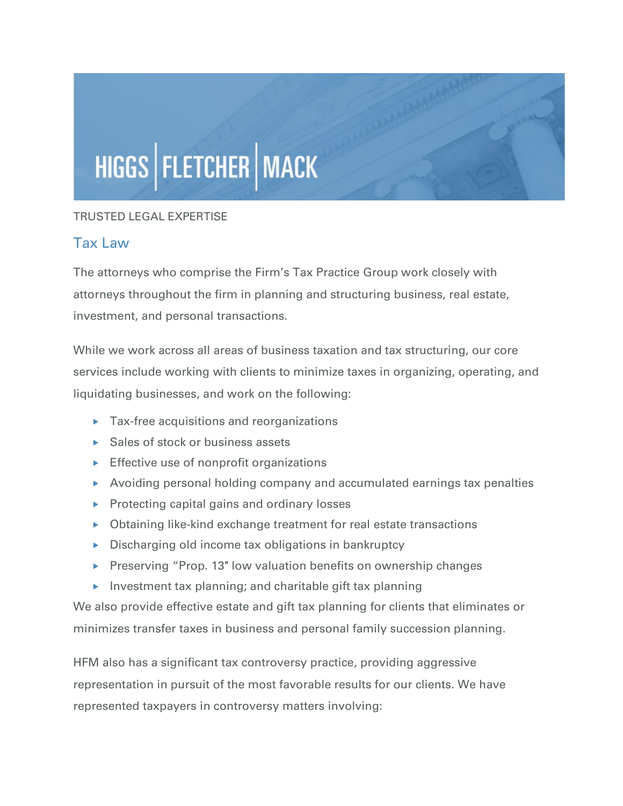## HIGGS | FLETCHER | MACK

## TRUSTED LEGAL EXPERTISE

## Tax Law

The attorneys who comprise the Firm's Tax Practice Group work closely with attorneys throughout the firm in planning and structuring business, real estate, investment, and personal transactions.

While we work across all areas of business taxation and tax structuring, our core services include working with clients to minimize taxes in organizing, operating, and liquidating businesses, and work on the following:

- ▶ Tax-free acquisitions and reorganizations
- ▶ Sales of stock or business assets
- $\triangleright$  Effective use of nonprofit organizations
- Avoiding personal holding company and accumulated earnings tax penalties
- $\triangleright$  Protecting capital gains and ordinary losses
- Obtaining like-kind exchange treatment for real estate transactions
- $\triangleright$  Discharging old income tax obligations in bankruptcy
- ▶ Preserving "Prop. 13" low valuation benefits on ownership changes
- Investment tax planning; and charitable gift tax planning

We also provide effective estate and gift tax planning for clients that eliminates or minimizes transfer taxes in business and personal family succession planning.

HFM also has a significant tax controversy practice, providing aggressive representation in pursuit of the most favorable results for our clients. We have represented taxpayers in controversy matters involving: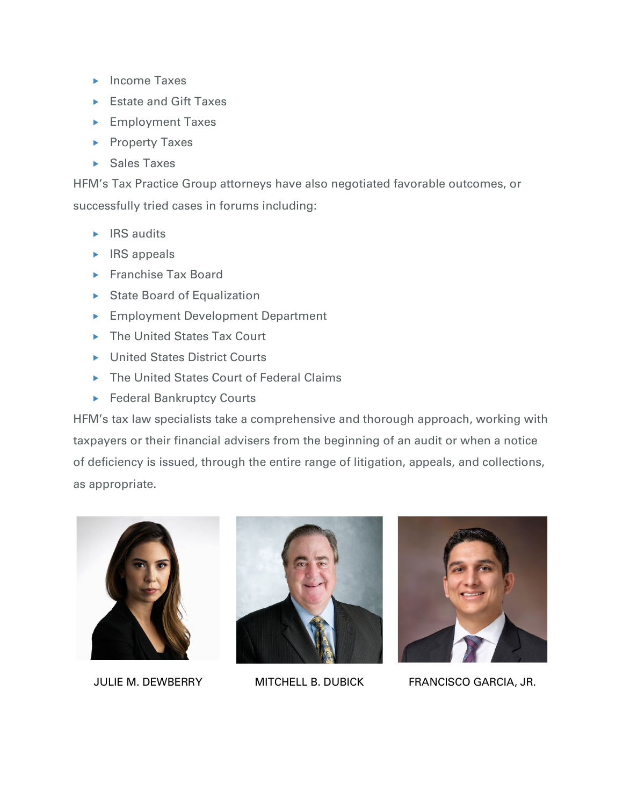- $\blacktriangleright$  Income Taxes
- ► Estate and Gift Taxes
- ► Employment Taxes
- **Property Taxes**
- ▶ Sales Taxes

HFM's Tax Practice Group attorneys have also negotiated favorable outcomes, or successfully tried cases in forums including:

- $\triangleright$  IRS audits
- $\triangleright$  IRS appeals
- ▶ Franchise Tax Board
- State Board of Equalization
- ▶ Employment Development Department
- ▶ The United States Tax Court
- ▶ United States District Courts
- ▶ The United States Court of Federal Claims
- ▶ Federal Bankruptcy Courts

HFM's tax law specialists take a comprehensive and thorough approach, working with taxpayers or their financial advisers from the beginning of an audit or when a notice of deficiency is issued, through the entire range of litigation, appeals, and collections, as appropriate.







JULIE M. DEWBERRY MITCHELL B. DUBICK FRANCISCO GARCIA, JR.